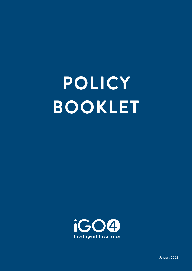# **POLICY BOOKLET**

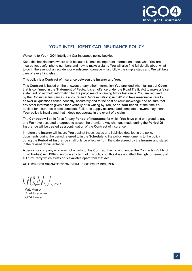

# **YOUR INTELLIGENT CAR INSURANCE POLICY**

Welcome to **Your iGO4** Intelligent Car Insurance policy booklet.

Keep this booklet somewhere safe because it contains important information about what **You** are insured for, useful phone numbers and how to make a claim. **You** will also find full details about what to do in the event of an accident or windscreen damage – just follow the simple steps and **We** will take care of everything else.

This policy is a **Contract** of Insurance between the **Insurer** and **You**.

This **Contract** is based on the answers or any other information **You** provided when taking out **Cover** that is confirmed in the **Statement of Facts**. It is an offence under the Road Traffic Act to make a false statement or withhold information for the purposes of obtaining Motor Insurance. You are required by the Consumer Insurance (Disclosure and Representations) Act 2012 to take reasonable care to answer all questions asked honestly, accurately and to the best of **Your** knowledge and be sure that any other information given either verbally or in writing by **You**, or on **Your** behalf, at the time **You** applied for insurance is also complete. Failure to supply accurate and complete answers may mean **Your** policy is invalid and that it does not operate in the event of a claim.

The **Contract** will be in force for any **Period of Insurance** for which **You** have paid or agreed to pay and **We** have accepted or agreed to accept the premium. Any changes made during the **Period Of Insurance** will be treated as a continuation of the **Contract** of insurance.

In return the **Insurer** will insure **You** against those losses and liabilities detailed in the policy documents during the period referred to in the **Schedule** to the policy. Amendments to the policy during the **Period of Insurance** shall only be effective from the date agreed by the **Insurer** and stated in the revised documentation.

A person or company who was not a party to this **Contract** has no right under the Contracts (Rights of Third Parties) Act 1999 to enforce any term of this policy but this does not affect the right or remedy of a **Third Party** which exists or is available apart from that Act.

## **AUTHORISED SIGNATORY ON BEHALF OF YOUR INSURER**

Matt Munro Chief Executive iGO4 Limited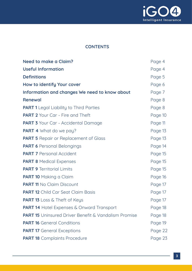

# **CONTENTS**

| <b>Need to make a Claim?</b>                                | Page 4  |
|-------------------------------------------------------------|---------|
| <b>Useful Information</b>                                   | Page 4  |
| <b>Definitions</b>                                          | Page 5  |
| How to identify Your cover                                  | Page 6  |
| Information and changes We need to know about               | Page 7  |
| Renewal                                                     | Page 8  |
| <b>PART 1</b> Legal Liability to Third Parties              | Page 8  |
| <b>PART 2</b> Your Car - Fire and Theft                     | Page 10 |
| <b>PART 3</b> Your Car - Accidental Damage                  | Page 11 |
| <b>PART 4</b> What do we pay?                               | Page 13 |
| <b>PART 5</b> Repair or Replacement of Glass                | Page 13 |
| <b>PART 6</b> Personal Belongings                           | Page 14 |
| <b>PART 7 Personal Accident</b>                             | Page 15 |
| <b>PART 8 Medical Expenses</b>                              | Page 15 |
| <b>PART 9 Territorial Limits</b>                            | Page 15 |
| <b>PART 10 Making a Claim</b>                               | Page 16 |
| <b>PART 11 No Claim Discount</b>                            | Page 17 |
| <b>PART 12</b> Child Car Seat Claim Basis                   | Page 17 |
| <b>PART 13</b> Loss & Theft of Keys                         | Page 17 |
| <b>PART 14</b> Hotel Expenses & Onward Transport            | Page 18 |
| <b>PART 15</b> Uninsured Driver Benefit & Vandalism Promise | Page 18 |
| <b>PART 16 General Conditions</b>                           | Page 19 |
| <b>PART 17</b> General Exceptions                           | Page 22 |
| <b>PART 18</b> Complaints Procedure                         | Page 23 |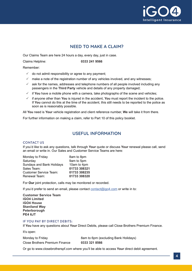

# **NEED TO MAKE A CLAIM?**

Our Claims Team are here 24 hours a day, every day, just in case.

Claims Helpline: **0333 241 9566**

Remember:

- $\checkmark$  do not admit responsibility or agree to any payment;
- $\checkmark$  make a note of the registration number of any vehicles involved, and any witnesses;
- $\checkmark$  ask for the names, addresses and telephone numbers of all people involved including any passengers in the **Third Party** vehicle and details of any property damaged;
- $\checkmark$  if **You** have a mobile phone with a camera, take photographs of the scene and vehicles;
- $\checkmark$  if anyone other than **You** is injured in the accident, **You** must report the incident to the police. If **You** cannot do this at the time of the accident, this still needs to be reported to the police as soon as is reasonably possible.

All **You** need is **Your** vehicle registration and client reference number, **We** will take it from there.

For further information on making a claim, refer to Part 10 of this policy booklet.

## **USEFUL INFORMATION**

#### CONTACT US

If you'd like to ask any questions, talk through **Your** quote or discuss **Your** renewal please call, send an email or write in. Our Sales and Customer Service Teams are here:

| 8am to 8pm   |
|--------------|
| 9am to 5pm   |
| 10am to 4pm  |
| 01733 308321 |
| 01733 308235 |
| 01733 308320 |
|              |

For **Our** joint protection, calls may be monitored or recorded.

If you'd prefer to send an email, please contact [contact@igo4.com](mailto:contact%40igo4.com?subject=) or write in to:

**Customer Service Team iGO4 Limited iGO4 House Staniland Way Peterborough PE4 6JT**

#### IF YOU PAY BY DIRECT DEBITS:

If **You** have any questions about **Your** Direct Debits, please call Close Brothers Premium Finance.

It's open:

| Monday to Friday               | 8am to 6pm (excluding Bank Holidays) |
|--------------------------------|--------------------------------------|
| Close Brothers Premium Finance | 0333 321 8566                        |

Or go to [www.closebrotherspf.com](http://www.closebrotherspf.com) where you'll be able to access **Your** direct debit agreement.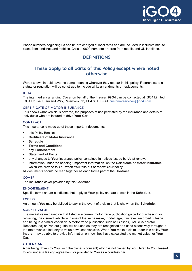

Phone numbers beginning 03 and 01 are charged at local rates and are included in inclusive minute plans from landlines and mobiles. Calls to 0800 numbers are free from mobile and UK landlines.

# **DEFINITIONS**

## **These apply to all parts of this Policy except where noted otherwise**

Words shown in bold have the same meaning wherever they appear in this policy. References to a statute or regulation will be construed to include all its amendments or replacements.

## IGO4

The intermediary arranging **Cover** on behalf of the **Insurer. iGO4** can be contacted at iGO4 Limited, iGO4 House, Staniland Way, Peterborough, PE4 6JT. Email: [customerservices@igo4.com](mailto:customerservices%40igo4.com?subject=)

## CERTIFICATE OF MOTOR INSURANCE

This shows what vehicle is covered, the purposes of use permitted by the insurance and details of individuals who are insured to drive **Your Car**.

#### **CONTRACT**

This insurance is made up of these important documents:

- this Policy Booklet
- **Certificate of Motor Insurance**
- **Schedule**
- **Terms and Conditions**
- any **Endorsement**
- **Statement of Facts**
- any changes to **Your** insurance policy contained in notices issued by **Us** at renewal
- information under the heading "Important Information" on the **Certificate of Motor Insurance** which **We** provide to **You** when **You** take out or renew **Your** policy

All documents should be read together as each forms part of the **Contract**.

#### **COVER**

The insurance cover provided by this **Contract**.

#### ENDORSEMENT

Specific terms and/or conditions that apply to **Your** policy and are shown in the **Schedule**.

#### **EXCESS**

An amount **You** may be obliged to pay in the event of a claim that is shown on the **Schedule**.

#### MARKET VALUE

The market value based on that listed in a current motor trade publication guide for purchasing, or replacing, the insured vehicle with one of the same make, model, age, trim level, recorded mileage and being in a similar condition. A motor trade publication such as Glasses, CAP (CAP Motor Research Ltd) or Parkers guide will be used as they are recognised and used extensively throughout the motor vehicle industry to value new/used vehicles. When **You** make a claim under this policy **Your Insurer** may be able to provide information on how they have calculated the market value for **Your Car**.

#### OTHER CAR

A car being driven by **You** (with the owner's consent) which is not owned by **You**, hired to **You**, leased to **You** under a leasing agreement, or provided to **You** as a courtesy car.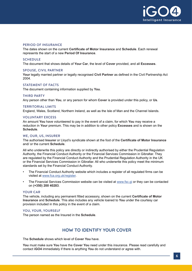

#### PERIOD OF INSURANCE

The dates shown on the current **Certificate of Motor Insurance** and **Schedule**. Each renewal represents the start of a new **Period Of Insurance**.

#### **SCHEDULE**

The document that shows details of **Your Car**, the level of **Cover** provided, and all **Excesses**.

#### SPOUSE, CIVIL PARTNER

**Your** legally married partner or legally recognised **Civil Partner** as defined in the Civil Partnership Act 2004.

#### STATEMENT OF FACTS

The document containing information supplied by **You**.

#### THIRD PARTY

Any person other than **You**, or any person for whom **Cover** is provided under this policy, or **Us**.

#### TERRITORIAL LIMITS

England, Wales, Scotland, Northern Ireland, as well as the Isle of Man and the Channel Islands.

#### VOLUNTARY EXCESS

An amount **You** have volunteered to pay in the event of a claim, for which **You** may receive a reduction in **Your** premium. This may be in addition to other policy **Excesses** and is shown on the **Schedule**.

#### WE, OUR, US, INSURER

The authorised **Insurer** or Lloyd's syndicate shown at the foot of the **Certificate of Motor Insurance** and/ or the current **Schedule**.

All who underwrite this policy are directly or indirectly authorised by either the Prudential Regulation Authority, the Financial Conduct Authority or the Financial Services Commission in Gibraltar. They are regulated by the Financial Conduct Authority and the Prudential Regulation Authority in the UK or the Financial Services Commission in Gibraltar. All who underwrite this policy meet the minimum standards set by the Financial Conduct Authority.

- The Financial Conduct Authority website which includes a register of all regulated firms can be visited at [www.fca.org.uk/register](http://www.fca.org.uk/register).
- The Financial Services Commission website can be visited at [www.fsc.gi](http://www.fsc.gi) or they can be contacted on **(+350) 200 40283**.

#### YOUR CAR

The vehicle, including any permanent fitted accessory, shown on the current **Certificate of Motor Insurance** and **Schedule**. This also includes any vehicle loaned to **You** under the courtesy car provision included in this policy in the event of a claim.

#### YOU, YOUR, YOURSELF

The person named as the Insured in the **Schedule**.

## **HOW TO IDENTIFY YOUR COVER**

The **Schedule** shows which level of **Cover You** have.

**You** must make sure **You** have the **Cover You** need under this insurance. Please read carefully and contact **iGO4** immediately if there is anything **You** do not understand or agree with.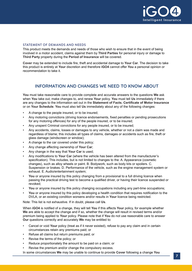

## STATEMENT OF DEMANDS AND NEEDS

This product meets the demands and needs of those who wish to ensure that in the event of being involved in a motor accident, claims against them by **Third Parties** for personal injury or damage to **Third Party** property during the **Period of Insurance** will be covered.

**Cover** may be extended to include fire, theft and accidental damage to **Your Car**. The decision to take this product is entirely at **Your** discretion and therefore **iGO4** cannot offer **You** a personal opinion or recommendation to take it.

## **INFORMATION AND CHANGES WE NEED TO KNOW ABOUT**

**You** must take reasonable care to provide complete and accurate answers to the questions **We** ask when **You** take out, make changes to, and renew **Your** policy. **You** must tell **Us** immediately if there are any changes to the information set out in the **Statement of Facts**, **Certificate of Motor Insurance** or on **Your Schedule**. **You** must also tell **Us** immediately about any of the following changes:

- A change to the people insured, or to be insured;
- Any motoring convictions (driving licence endorsements, fixed penalties or pending prosecutions for any motoring offences) for any of the people insured, or to be insured;
- Any unspent Criminal convictions for any people insured, or to be insured;
- Any accidents, claims, losses or damages to any vehicle, whether or not a claim was made and regardless of blame; this includes all types of claims, damages or accidents such as fire, theft or glass damage (windscreen or window);
- A change to the car covered under this policy;
- Any change affecting ownership of **Your Car**;
- Any change in the way that **Your Car** is used;
- Any modifications to **Your Car** (where the vehicle has been altered from the manufacturer's specification). This includes, but is not limited to changes to the: A. Appearance (cosmetic changes), such as alloy wheels or paint. B. Bodywork, such as body kits or spoilers. C. Suspension or brakes. D. Performance of the vehicle, such as the engine management system or exhaust. E. Audio/entertainment system;
- **You** or anyone insured by this policy changing from a provisional to a full driving licence when passing the practical driving test to become a qualified driver, or having their licence suspended or revoked;
- **You** or anyone insured by this policy changing occupations including any part-time occupations;
- **You** or anyone insured by this policy developing a health condition that requires notification to the DVLA, or an existing condition worsens and/or results in **Your** licence being restricted.

Note: This list is not exhaustive. If in doubt, please call **Us**.

When **iGO4** is notified of a change, they will tell **You** if this affects **Your** policy, for example whether **We** are able to accept the change and if so, whether the change will result in revised terms and/or premium being applied to **Your** policy. Please note that if **You** do not use reasonable care to answer **Our** questions correctly and accurately **We** may be entitled to:

- Cancel or void **Your** policy (treat as if it never existed), refuse to pay any claim and in certain circumstances retain any premiums paid; or
- Refuse all claims but return premiums paid; or
- Revise the terms of the policy; or
- Reduce proportionately the amount to be paid on a claim; or
- Revise the premium and/or change the compulsory excess.

In some circumstances **We** may be unable to continue to provide **Cover** following a change **You**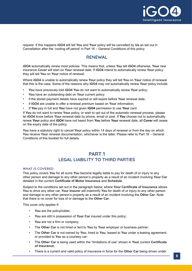

request. If this happens **iGO4** will tell **You** and **Your** policy will be cancelled by **Us** as set out in Cancellation after the 'cooling off period' in Part 16 – General Conditions of this policy.

## **RENEWAL**

**iGO4** automatically renew most policies. This means that, unless **You** tell **iGO4** otherwise, **Your** new insurance **Cover** will start on **Your** renewal date. If **iGO4** intend to automatically renew **Your** policy they will tell **You** on **Your** notice of renewal.

Where **iGO4** is unable to automatically renew **Your** policy they will tell **You** on **Your** notice of renewal that this is the case. Some of the reasons why **iGO4** may not automatically renew **Your** policy include:

- **You** have previously told **iGO4 You** do not want to automatically renew **Your** policy;
- **You** have an outstanding debt on **Your** current policy;
- if the stored payment details have expired or will expire before **Your** renewal date;
- if **iGO4** are unable to offer a renewal premium based on **Your** information;
- If **You** pay in full and **You** have not given **iGO4** permission to use **Your** card.

If **You** do not want to renew **Your** policy, or wish to opt out of the automatic renewal process, please let **iGO4** know before **Your** renewal date by phone, email or post. If **You** choose not to automatically renew **Your** policy and **iGO4** have not heard from **You** before **Your** renewal date, all **Cover** will cease on the expiry date of the policy.

**You** have a statutory right to cancel **Your** policy within 14 days of renewal or from the day on which **You** receive **Your** renewal documentation, whichever is the latter. Please refer to Part 16 – General Conditions of this booklet for full details.

# **PART 1 LEGAL LIABILITY TO THIRD PARTIES**

#### WHAT IS COVERED

This policy covers **You** for all sums **You** become legally liable to pay for death of or injury to any other person and damage to any other person's property as a result of an incident involving **Your Car** detailed in the current **Certificate of Motor Insurance** and **Schedule**.

Subject to the conditions set out in the paragraph below, where **Your Certificate of Insurance** allows **You** to drive any other car, **Your Insurer** will indemnify **You** for death of or injury to any other person and damage to any other person's property as a result of an incident involving the **Other Car**. Note that there is no cover for loss of or damage to the **Other Car**.

This cover only applies if:

- You are the policyholder;
- **You** are still in possession of **Your Car** insured under this policy;
- **You** are not a firm or company;
- The **Other Car** is not hired or lent to **You** by **Your** employer or business partner;
- The **Other Car** is not owned by **You**, hired to **You,** leased to **You** under a leasing agreement, or provided to **You** as a courtesy car;
- The **Other Car** is being used within the "limitations of use" shown in **Your** current **Certificate of Insurance**;
- There is a current and valid policy of insurance in force for the **Other Car** being driven under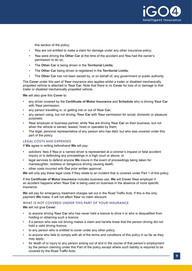

this section of the policy;

- **You** are not entitled to make a claim for damage under any other insurance policy;
- **You** were driving the **Other Car** at the time of the accident and **You** had the owner's permission to do so;
- The **Other Car** is being driven in the **Territorial Limits**;
- The **Other Car** being driven is registered in the **Territorial Limits**;
- The **Other Car** has not been seized by, or on behalf of, any government or public authority.

The **Cover** under this part of **Your** insurance also applies whilst a trailer or disabled mechanically propelled vehicle is attached to **Your Car**. Note that there is no **Cover** for loss of or damage to that trailer or disabled mechanically propelled vehicle.

**We** will also give this **Cover** to:

- any driver covered by the **Certificate of Motor Insurance** and **Schedule** who is driving **Your Car** with **Your** permission;
- any person travelling in, or getting into or out of **Your Car**;
- any person using, but not driving, **Your Car** with **Your** permission for social, domestic or pleasure purposes;
- **Your** employer or business partner, while **You** are driving **Your Car** on their business, but not when the vehicle is owned, leased, hired or operated by them;
- The legal, personal representative of any person who has died, but who was covered under this part of the policy.

## LEGAL COSTS AND EXPENSES

If **We** agree in writing beforehand **We** will pay:

- solicitors' fees if **You** or a named driver is represented at a coroner's inquest or fatal accident inquiry or is defending any proceedings in a high court or above; or
- legal services to defend anyone **We** insure in the event of proceedings being taken for manslaughter, reckless or dangerous driving causing death;
- other costs incurred with **Our** prior written approval.

**We** will only pay these legal costs if they relate to an incident that is covered under Part 1 of this policy.

If the **Certificate of Motor Insurance** includes business use, **We** will **Cover Your** employer if an accident happens when **Your Car** is being used on business in the absence of more specific insurance.

**We** will pay for emergency treatment charges set out in the Road Traffic Acts. If this is the only payment **We** make, it will not affect **Your** no claim discount.

## WHAT IS NOT COVERED UNDER THIS PART OF YOUR INSURANCE

**We** will not give **Cover**:

- to anyone driving **Your Car** who has never held a licence to drive it or who is disqualified from holding or obtaining such a licence;
- if a person who was not driving makes a claim and he/she knew that the person driving did not hold a valid driving licence;
- to any person who is entitled to cover under any other policy;
- to anyone who fails to comply with all of the terms and conditions of this policy in so far as they may apply;
- for death of or injury to any person arising out of and in the course of that person's employment by the person claiming under this Part of the policy except where such liability is required to be covered by the Road Traffic Acts;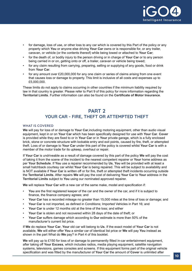

- for damage, loss of use, or other loss to any car which is covered by this Part of the policy or any property which **You** or anyone else driving **Your Car** owns or is responsible for, or any trailer, caravan, or vehicle (or the contents thereof) while being towed or attached to **Your Car**;
- for the death of, or bodily injury to the person driving or in charge of **Your Car** or to any person being carried in or on, getting onto or off, a trailer, caravan or vehicle being towed;
- for any claim resulting from carrying, preparing, selling or supplying of any goods, food or drink from **Your Car**.
- for any amount over £20,000,000 for any one claim or series of claims arising from one event that causes loss or damage to property. This limit is inclusive of all costs and expenses up to £5,000,000.

These limits do not apply to claims occurring in other countries if the minimum liability required by law in that country is greater. Please refer to Part 9 of this policy for more information regarding the **Territorial Limits**. Further information can also be found on the **Certificate of Motor Insurance**.

# **PART 2 YOUR CAR - FIRE, THEFT OR ATTEMPTED THEFT**

## WHAT IS COVERED

**We** will pay for loss of or damage to **Your Car**,including motoring equipment, other than audio visual equipment, kept in or on **Your Car** which has been specifically designed for use with **Your Car**. **Cover** is provided while they are fixed to or in **Your Car** or in **Your** private garage, which is a fully enclosed brick, stone or concrete structure with lockable entry and exit points, caused by fire, theft, or attempted theft. Loss of or damage to **Your Car** under this part of the policy is covered whilst **Your Car** is with a member of the motor trade for its upkeep, overhaul or repair.

If **Your Car** is undriveable as a result of damage covered by this part of the policy **We** will pay the cost of taking it from the scene of the incident to the nearest competent repairer or **Your** home address as per **Your Schedule**. If **You** use a repairer recommended by **Us**, **You** will be provided with at least a small hatchback courtesy car whilst **Your Car** is being repaired. This will be subject to availability and is NOT available if **Your Car** is written off or for fire, theft or attempted theft incidents occurring outside the **Territorial Limits**. After repairs **We** will pay the cost of delivering **Your Car** to **Your** address in the **Territorial Limits** subject to **You** using our nominated approved repairer.

**We** will replace **Your Car** with a new car of the same make, model and specification if:

- **You** are the first registered keeper of the car and the owner of the car, and if it is subject to finance, the finance company agrees; and
- **Your Car** has a recorded mileage no greater than 15,000 miles at the time of loss or damage; and
- **Your Car** is not imported, as defined in Conditions; Imported Vehicles in Part 16; and
- **Your Car** is under 12 months old at the time of the loss; and either
- **Your Car** is stolen and not recovered within 28 days of the date of theft; or
- **Your Car** suffers damage which according to **Our** estimate is more than 50% of the manufacturer's current list price.

If **We** do replace **Your Car**, **Your** old car will belong to **Us**. If the exact model of **Your Car** is not available, **We** will either offer **You** a similar car of identical list price or **We** will pay **You** instead as shown in the part What do **We** pay? in Part 4 of this booklet.

**We** will pay up to £150 for loss of or damage to permanently fitted in-car entertainment equipment, after taking off **Your Excess**, which includes radios, media playing equipment, satellite navigation systems, televisions, games consoles and screens. If this equipment forms part of the original vehicle specification and was fitted by the manufacturer of **Your Car** the amount of **Cover** is unlimited after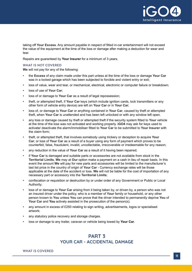

taking off **Your Excess**. Any amount payable in respect of fitted in-car entertainment will not exceed the value of the equipment at the time of the loss or damage after making a deduction for wear and tear.

Repairs are guaranteed by **Your Insurer** for a minimum of 3 years.

## WHAT IS NOT COVERED

**We** will not pay for any of the following:

- the **Excess** of any claim made under this part unless at the time of the loss or damage **Your Car** was in a locked garage which has been subjected to forcible and violent entry or exit;
- loss of value, wear and tear, or mechanical, electrical, electronic or computer failure or breakdown;
- loss of use of **Your Car**;
- loss of or damage to Your Car as a result of legal repossession;
- theft, or attempted theft, if **Your Car** keys (which include ignition cards, lock transmitters or any other form of vehicle entry device) are left on **Your Car** or in **Your Car**;
- loss of, or damage to **Your Car** or anything contained in **Your Car**, caused by theft or attempted theft, when **Your Car** is unattended and has been left unlocked or with any window left open.
- any loss or damage caused by theft or attempted theft if the security system fitted to **Your** vehicle at the time of the loss was not activated and working properly. **iGO4** may ask for keys used to activate/ deactivate the alarm/immobiliser fitted to **Your Car** to be submitted to **Your Insurer** with the claim form;
- theft, or attempted theft, that involves somebody using trickery or deception to acquire **Your Car**; or loss of **Your Car** as a result of a buyer using any form of payment which proves to be counterfeit, false, fraudulent, invalid, uncollectable, irrecoverable or irredeemable for any reason;
- any reduction in the value of **Your Car** as a result of it having been repaired;
- if **Your Car** is damaged and suitable parts or accessories are not available from stock in the **Territorial Limits**, **We** may at **Our** option make a payment on a cash in lieu of repair basis. In this event the amount **We** will pay for new parts and accessories will be limited to the manufacturer's last list price in the country of origin of **Your Car** - Currency exchange rates will be those applicable at the date of the accident or loss. **We** will not be liable for the cost of importation of any necessary part or accessory into the **Territorial Limits**;
- confiscation or requisition or destruction by or under order of any Government or Public or Local Authority;
- loss of or damage to **Your Car** arising from it being taken by, or driven by, a person who was not an insured driver under the policy, who is a member of **Your** family or household, or any other person known to **You** unless **You** can prove that the driver intended to permanently deprive **You** of **Your Car** and **You** actively assisted in the prosecution of the person(s);
- any amount in excess of £250 relating to sign writing, advertisements, logos or specialised artwork;
- any statutory police recovery and storage charges.
- loss or damage to any trailer, caravan or vehicle being towed by **Your Car**.

# **PART 3 YOUR CAR - ACCIDENTAL DAMAGE**

#### WHAT IS COVERED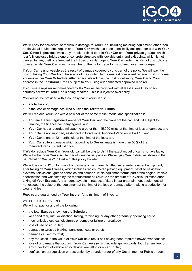

**We** will pay for accidental or malicious damage to **Your Car**, including motoring equipment, other than audio visual equipment, kept in or on **Your Car** which has been specifically designed for use with **Your Car**. **Cover** is provided while they are either fixed to or in **Your Car** or in **Your** private garage, which is a fully enclosed brick, stone or concrete structure with lockable entry and exit points, which is not caused by fire, theft or attempted theft. Loss of or damage to **Your Car** under this Part of this policy is covered whilst **Your Car** is with a member of the motor trade for its upkeep, overhaul or repair.

If **Your Car** is undriveable as the result of damage covered by this part of the policy **We** will pay the cost of taking **Your Car** from the scene of the incident to the nearest competent repairer or **Your** home address as per **Your Schedule**. After repairs **We** will pay the cost of delivering **Your Car** to **Your** address in the **Territorial Limits** subject to **You** using our nominated approved repairer.

If **You** use a repairer recommended by **Us You** will be provided with at least a small hatchback courtesy car whilst **Your Car** is being repaired. This is subject to availability.

**You** will not be provided with a courtesy car if **Your Car** is:

- a total loss or:
- if the loss or damage occurred outside the **Territorial Limits**.

**We** will replace **Your Car** with a new car of the same make, model and specification if:

- **You** are the first registered keeper of **Your Car**, and the owner of the car, and if it subject to finance, the finance company agrees; and
- **Your Car** has a recorded mileage no greater than 15,000 miles at the time of loss or damage; and
- **Your Car** is not imported, as defined in Conditions; Imported Vehicles in Part 16; and
- Your Car is under 12 months old at the time of the loss; and
- **Your Car** suffers damage which according to **Our** estimate is more than 50% of the manufacturer's current list price.

If **We** do replace **Your Car**, **Your** old car will belong to **Us**. If the exact model of car is not available, **We** will either offer **You** a similar car of identical list price or **We** will pay **You** instead as shown in the part What do **We** pay? in Part 4 of this policy booklet.

**We** will pay up to £150 for loss of or damage to permanently fitted in-car entertainment equipment, after taking off **Your Excess**, which includes radios, media playing equipment, satellite navigation systems, televisions, games consoles and screens. If this equipment forms part of the original vehicle specification and was fitted by the manufacturer of **Your Car** the amount of **Cover** is unlimited after taking off **Your Excess**. Any amount payable in respect of fitted in-car entertainment equipment will not exceed the value of the equipment at the time of the loss or damage after making a deduction for wear and tear.

Repairs are guaranteed by **Your Insurer** for a minimum of 3 years.

#### WHAT IS NOT COVERED

**We** will not pay for any of the following:

- the total **Excess** shown on the **Schedule**;
- wear and tear, rust, oxidisation, fading, tarnishing, or any other gradually operating cause;
- mechanical, electrical, electronic or computer failure or breakdown;
- loss of use of **Your Car**;
- damage to tyres by braking, punctures, cuts or bursts;
- damage caused by frost;
- any reduction in the value of **Your Car** as a result of it having been repaired howsoever caused;
- loss of or damage that occurs if **Your Car** keys (which include ignition cards, lock transmitters or any other form of vehicle entry device) are left in or on **Your Car**;
- confiscation or requisition or destruction by or under order of any Government or Public or Local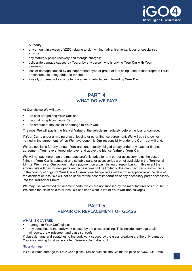

Authority;

- any amount in excess of £250 relating to sign writing, advertisements, logos or specialised artwork;
- any statutory police recovery and storage charges;
- deliberate damage caused by **You** or by any person who is driving **Your Car** with **Your** permission;
- loss or damage caused by an inappropriate type or grade of fuel being used or inappropriate liquid or consumable being added to the fuel.
- loss of, or damage to any trailer, caravan or vehicle being towed by **Your Car**.

# **PART 4 WHAT DO WE PAY?**

At **Our** choice **We** will pay:

- the cost of repairing **Your Car**; or
- the cost of replacing **Your Car**; or
- the amount of the loss of or damage to **Your Car**.

The most **We** will pay is the **Market Value** of the vehicle immediately before the loss or damage.

If **Your Car** is under a hire purchase, leasing or other finance agreement, **We** will pay the owner named in the agreement. When **We** have done this **Our** responsibility under the **Contract** will end.

**We** are not liable for any amount **You** are contractually obliged to pay under any lease or finance agreement; **You** have entered into, over and above the **Market Value** of **Your Car**.

**We** will not pay more than the manufacturer's list price for any part or accessory (plus the cost of fitting). If **Your Car** is damaged and suitable parts or accessories are not available in the **Territorial Limits**, **We** may at **Our** option make a payment on a cash in lieu of repair basis. In this event the amount **We** will pay for new parts and accessories will be limited to the manufacturer's last list price in the country of origin of **Your Car** – Currency exchange rates will be those applicable at the date of the accident or loss. **We** will not be liable for the cost of importation of any necessary part or accessory into the **Territorial Limits**.

**We** may use warranted replacement parts, which are not supplied by the manufacturer of **Your Car**. If **We** settle the claim as a total loss, **We** can keep what is left of **Your Car** (the salvage).

# **PART 5 REPAIR OR REPLACEMENT OF GLASS**

#### WHAT IS COVERED

- damage to **Your Car**'s glass;
- any scratches to the bodywork caused by the glass breaking. This includes damage to all windows, the windscreen and glass sunroofs.

If glass damage and scratches to the bodywork caused by the glass breaking are the only damage **You** are claiming for, it will not affect **Your** no claim discount.

#### Glass damage

If **You** sustain damage to **Your Car**'s glass, **You** should call the Claims Helpline on **0333 241 9566**.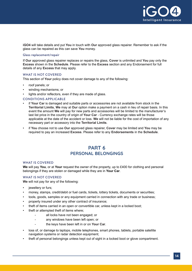

**iGO4** will take details and put **You** in touch with **Our** approved glass repairer. Remember to ask if the glass can be repaired as this can save **You** money.

## Glass replacement/repair

If **Our** approved glass repairer replaces or repairs the glass, **Cover** is unlimited and **You** pay only the **Excess** shown in the **Schedule**. Please refer to the **Excess** section and any Endorsement for full details of any **Excess** that may apply.

#### WHAT IS NOT COVERED

This section of **Your** policy does not cover damage to any of the following:

- roof panels; or
- winding mechanisms; or
- lights and/or reflectors, even if they are made of glass.

#### CONDITIONS APPLICABLE

- if **Your Car** is damaged and suitable parts or accessories are not available from stock in the **Territorial Limits**, **We** may at **Our** option make a payment on a cash in lieu of repair basis. In this event the amount **We** will pay for new parts and accessories will be limited to the manufacturer's last list price in the country of origin of **Your Car** - Currency exchange rates will be those applicable at the date of the accident or loss. **We** will not be liable for the cost of importation of any necessary part or accessory into the **Territorial Limits**.
- if **You** choose not to use **Our** approved glass repairer, **Cover** may be limited and **You** may be required to pay an increased **Excess**. Please refer to any **Endorsements** in the **Schedule**.

# **PART 6 PERSONAL BELONGINGS**

#### WHAT IS COVERED

**We** will pay **You**, or at **Your** request the owner of the property, up to £400 for clothing and personal belongings if they are stolen or damaged while they are in **Your Car**.

#### WHAT IS NOT COVERED

**We** will not pay for any of the following:

- jewellery or furs;
- money, stamps, credit/debit or fuel cards, tickets, lottery tickets, documents or securities;
- tools, goods, samples or any equipment carried in connection with any trade or business;
- property insured under any other contract of insurance;
- theft of items carried in an open or convertible car, unless kept in a locked boot;
- theft or attempted theft of items where:
	- all locks have not been engaged; or
	- any windows have been left open; or
	- the keys have been left in or on **Your Car**.
- loss of, or damage to laptops, mobile telephones, smart phones, tablets, portable satellite navigation systems or radar detection equipment;
- theft of personal belongings unless kept out of sight in a locked boot or glove compartment.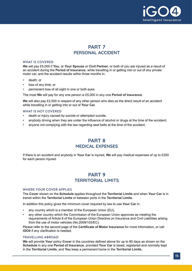

# **PART 7 PERSONAL ACCIDENT**

## WHAT IS COVERED

**We** will pay £5,000 if **You**, or **Your Spouse** or **Civil Partner**, or both of you are injured as a result of an accident during the **Period of Insurance**, while travelling in or getting into or out of any private motor car, and the accident results within three months in:

- death; or
- loss of any limb; or
- permanent loss of all sight in one or both eyes.

The most **We** will pay for any one person is £5,000 in any one **Period of Insurance**.

**We** will also pay £2,500 in respect of any other person who dies as the direct result of an accident while travelling in or getting into or out of **Your Car**.

#### WHAT IS NOT COVERED

- death or injury caused by suicide or attempted suicide;
- anybody driving when they are under the influence of alcohol or drugs at the time of the accident;
- anyone not complying with the law regarding seat belts at the time of the accident.

# **PART 8 MEDICAL EXPENSES**

If there is an accident and anybody in **Your Car** is injured, **We** will pay medical expenses of up to £200 for each person injured.

# **PART 9 TERRITORIAL LIMITS**

#### WHERE YOUR COVER APPLIES

The **Cover** shown on the **Schedule** applies throughout the **Territorial Limits** and when **Your Car** is in transit within the **Territorial Limits** or between ports in the **Territorial Limits**.

In addition this policy gives the minimum cover required by law to use **Your Car** in:

- any country which is a member of the European Union (EU);
- any other country which the Commission of the European Union approves as meeting the requirements of Article 8 of the European Union Directive on Insurance and Civil Liabilities arising from the use of motor vehicles (No.2009/103/EC).

Please refer to the second page of the **Certificate of Motor Insurance** for more information, or call **iGO4** if any clarification is needed.

## TRAVELLING ABROAD

**We** will provide **Your** policy **Cover** in the countries defined above for up to 90 days as shown on the **Schedule** in any one **Period of Insurance**, provided **Your Car** is taxed, registered and normally kept in the **Territorial Limits**, and **You** keep a permanent home in the **Territorial Limits**.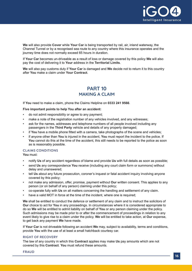

**We** will also provide **Cover** while **Your Car** is being transported by rail, air, inland waterway, the Channel Tunnel or by a recognised sea route to any country where this insurance operates and the journey time does not normally exceed 65 hours in duration.

If **Your Car** becomes un-driveable as a result of loss or damage covered by this policy **We** will also pay the cost of delivering it to **Your** address in the **Territorial Limits**.

**We** will also pay customs duty if **Your Car** is damaged and **We** decide not to return it to this country after **You** make a claim under **Your Contract**.

# **PART 10 MAKING A CLAIM**

If **You** need to make a claim, phone the Claims Helpline on **0333 241 9566**.

#### **Five important points to help You after an accident:**

- do not admit responsibility or agree to any payment;
- make a note of the registration number of any vehicles involved, and any witnesses;
- ask for the names, addresses and telephone numbers of all people involved including any passengers in the **Third Party** vehicle and details of any property damaged;
- if **You** have a mobile phone fitted with a camera, take photographs of the scene and vehicles;
- if anyone other than **You** is injured in the accident, **You** must report the incident to the police. If **You** cannot do this at the time of the accident, this still needs to be reported to the police as soon as is reasonably possible.

## CLAIMS CONDITIONS

**You** must:

- notify **Us** of any accident regardless of blame and provide **Us** with full details as soon as possible;
- send **Us** any correspondence **You** receive (including any court claim form or summons) without delay and unanswered;
- tell **Us** about any future prosecution, coroner's inquest or fatal accident inquiry involving anyone covered by this policy;
- not make any admission, offer, promise, payment without **Our** written consent. This applies to any person (or on behalf of any person) claiming under this policy;
- co-operate fully with **Us** on all matters concerning the handling and settlement of any claim.
- have a valid MOT in force at the time of the incident, where one is required;

**We** shall be entitled to conduct the defence or settlement of any claim and to instruct the solicitors of **Our** choice to act for **You** in any proceedings. In circumstances where it is considered appropriate to do so **We** will be entitled to admit liability on behalf of **You** or any person claiming under the policy. Such admissions may be made prior to or after the commencement of proceedings in relation to any event likely to give rise to a claim under the policy. **We** will be entitled to take action, at **Our** expense, to get back any payment **We** have made.

If **Your Car** is not driveable following an accident **We** may, subject to availability, terms and conditions, provide **You** with the use of at least a small hatchback courtesy car.

#### RIGHT OF RECOVERY

The law of any country in which this **Contract** applies may make **Us** pay amounts which are not covered by this **Contract**. **You** must refund these amounts.

FRAUD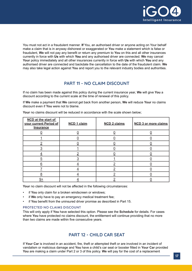

You must not act in a fraudulent manner. **If** You, an authorised driver or anyone acting on Your behalf make a claim that is in anyway dishonest or exaggerated or **You** make a statement which is false or fraudulent, **We** will not pay any benefit or return any premium to **You** on this and all other insurances currently in force with **Us** with which **You** and any authorised driver are connected. **We** may cancel **Your** policy immediately and all other insurances currently in force with **Us** with which **You** and any authorised driver are connected and backdate the cancellation to the date of the fraudulent claim. **We** may also take legal action against **You** and report you to the relevant industry bodies and authorities.

## **PART 11 - NO CLAIM DISCOUNT**

If no claim has been made against this policy during the current insurance year, **We** will give **You** a discount according to the current scale at the time of renewal of this policy.

If **We** make a payment that **We** cannot get back from another person, **We** will reduce **Your** no claims discount even if **You** were not to blame.

| <b>NCD</b> at the start of<br>your current Period of<br><b>Insurance</b> | <b>NCD 1 claim</b> | <b>NCD 2 claims</b> | <b>NCD 3 or more claims</b> |
|--------------------------------------------------------------------------|--------------------|---------------------|-----------------------------|
|                                                                          |                    |                     |                             |
|                                                                          |                    |                     |                             |
|                                                                          |                    |                     |                             |
|                                                                          |                    |                     |                             |
|                                                                          |                    |                     |                             |
| 5                                                                        |                    |                     |                             |
| 6                                                                        |                    |                     |                             |
|                                                                          |                    |                     |                             |
| 8                                                                        |                    |                     |                             |
| 9+                                                                       |                    |                     |                             |

**Your** no claims discount will be reduced in accordance with the scale shown below;

**Your** no claim discount will not be affected in the following circumstances:

- if **You** only claim for a broken windscreen or windows;
- if **We** only have to pay an emergency medical treatment fee;
- if **You** benefit from the uninsured driver promise as described in Part 15.

#### PROTECTED NO CLAIMS DISCOUNT

This will only apply if **You** have selected this option. Please see the **Schedule** for details. For cases where **You** have protected no claims discount, the entitlement will continue providing that no more than two claims are made within five consecutive years.

## **PART 12 - CHILD CAR SEAT**

If **Your Car** is involved in an accident, fire, theft or attempted theft or are involved in an incident of vandalism or malicious damage and **You** have a child's car seat or booster fitted in **Your Car** provided **You** are making a claim under Part 2 or 3 of this policy. **We** will pay for the cost of a replacement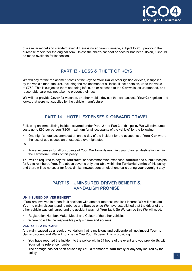

of a similar model and standard even if there is no apparent damage, subject to **You** providing the purchase receipt for the original item. Unless the child's car seat or booster has been stolen, it should be made available for inspection.

# **PART 13 - LOSS & THEFT OF KEYS**

**We** will pay for the replacement costs of the keys to **Your Car** or other ignition devices, if supplied by the vehicle manufacturer, including the replacement of all locks, if lost or stolen, up to the value of £750. This is subject to them not being left in, on or attached to the **Car** while left unattended, or if reasonable care was not taken to prevent their loss.

**We** will not provide **Cover** for watches, or other mobile devices that can activate **Your Car** ignition and locks, that were not supplied by the vehicle manufacturer.

# **PART 14 - HOTEL EXPENSES & ONWARD TRAVEL**

Following an immobilising incident covered under Parts 2 and Part 3 of this policy **We** will reimburse costs up to £60 per person (£300 maximum for all occupants of the vehicle) for the following:

• One night's hotel accommodation on the day of the incident for the occupants of **Your Car** where the loss of use causes an unexpected overnight stop

Or

• Travel expenses for all occupants of **Your Car** towards reaching your planned destination within the **Territorial Limits** of this policy.

**You** will be required to pay for **Your** travel or accommodation expenses **Yourself** and submit receipts for **Us** to reimburse **You**. The above cover is only available within the **Territorial Limits** of this policy and there will be no cover for food, drinks, newspapers or telephone calls during your overnight stay.

# **PART 15 - UNINSURED DRIVER BENEFIT & VANDALISM PROMISE**

#### UNINSURED DRIVER BENEFIT

If **You** are involved in a non-fault accident with another motorist who isn't insured **We** will reinstate **Your** no claim discount and reimburse any **Excess** once **We** have established that the driver of the other vehicle was uninsured and the accident was not **Your** fault. So **We** can do this **We** will need:

- Registration Number, Make, Model and Colour of the other vehicle;
- Where possible the responsible party's name and address.

#### VANDALISM PROMISE

Any claim caused as a result of vandalism that is malicious and deliberate will not impact **Your** no claims discount and **We** will not charge **You Your Excess**. This is providing:

- **You** have reported the incident to the police within 24 hours of the event and you provide **Us** with Your crime reference number;
- The damage has not been caused by **You**, a member of **Your** family or anybody insured by the policy.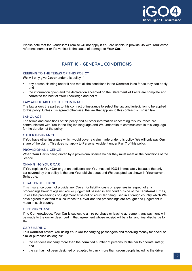

Please note that the Vandalism Promise will not apply if **You** are unable to provide **Us** with **Your** crime reference number or if a vehicle is the cause of damage to **Your Car**.

# **PART 16 - GENERAL CONDITIONS**

## KEEPING TO THE TERMS OF THIS POLICY

**We** will only give **Cover** under this policy if:

- any person claiming under it has met all the conditions in the **Contract** in so far as they can apply; and
- the information given and the declaration accepted on the **Statement of Facts** are complete and correct to the best of **Your** knowledge and belief.

#### LAW APPLICABLE TO THE CONTRACT

The law allows the parties to this contract of insurance to select the law and jurisdiction to be applied to this policy. Unless it is agreed otherwise, the law that applies to this contract is English law.

#### LANGUAGE

The terms and conditions of this policy and all other information concerning this insurance are communicated with **You** in the English language and **We** undertake to communicate in this language for the duration of the policy.

#### OTHER INSURANCE

If **You** have other insurance which would cover a claim made under this policy, **We** will only pay **Our** share of the claim. This does not apply to Personal Accident under Part 7 of this policy.

#### PROVISIONAL LICENCE

When **Your Car** is being driven by a provisional licence holder they must meet all the conditions of the licence.

#### CHANGING YOUR CAR

If **You** replace **Your Car** or get an additional car **You** must tell **iGO4** immediately because the only car covered by this policy is the one **You** told **Us** about and **We** accepted, as shown in **Your** current **Schedule**.

## LEGAL PROCEEDINGS

This insurance does not provide any **Cover** for liability, costs or expenses in respect of any proceedings brought against **You** or judgement passed in any court outside of the **Territorial Limits**, unless the proceedings or judgement arise out of **Your Car** being used in a foreign country which **We** have agreed to extend this insurance to **Cover** and the proceedings are brought and judgement is made in such country.

#### HIRE PURCHASE

If, to **Our** knowledge, **Your Car** is subject to a hire purchase or leasing agreement, any payment will be made to the owner described in that agreement whose receipt will be a full and final discharge to **Us**.

## CAR SHARING

This **Contract** covers **You** using **Your Car** for carrying passengers and receiving money for social or similar purposes as long as:

- the car does not carry more than the permitted number of persons for the car to operate safely; and
- the car has not been designed or adapted to carry more than seven people including the driver;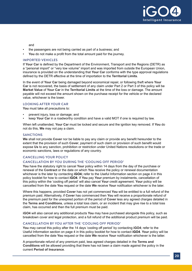

and

- the passengers are not being carried as part of a business; and
- **You** do not make a profit from the total amount paid for the journey.

#### IMPORTED VEHICLES

If **Your Car** is defined by the Department of the Environment, Transport and the Regions (DETR) as a "personal import" or "very low volume" import and was imported from outside the European Union, insurance is provided on the understanding that **Your Car** conforms with the type approval regulations defined by the DETR effective at the time of importation to the **Territorial Limits**.

In the event of **Your Car** being damaged beyond economical repair, or following theft where **Your Car** is not recovered, the basis of settlement of any claim under Part 2 or Part 3 of this policy will be **Market Value** of **Your Car** in the **Territorial Limits** at the time of the loss or damage. The amount payable will not exceed the amount shown on the purchase receipt for the vehicle or the declared value, whichever is the lower.

## LOOKING AFTER YOUR CAR

**You** must take all precautions to:

- prevent injury, loss or damage; and
- keep **Your Car** in a roadworthy condition and have a valid MOT if one is required by law.

When left unattended, **Your Car** must be locked and secure and the ignition key removed. If **You** do not do this, **We** may not pay a claim.

#### SANCTIONS

**We** shall not provide **Cover** nor be liable to pay any claim or provide any benefit hereunder to the extent that the provision of such **Cover**, payment of such claim or provision of such benefit would expose **Us** to any sanction, prohibition or restriction under United Nations resolutions or the trade or economic sanctions, laws or regulations of any country.

## CANCELLING YOUR POLICY

#### CANCELLATION BY YOU DURING THE 'COOLING OFF PERIOD'

**You** have the statutory right to cancel **Your** policy within 14 days from the day of the purchase or renewal of the **Contract** or the date on which **You** receive the policy or renewal documentation whichever is the later by contacting **iGO4;** refer to the Useful Information section on page 4 in this policy booklet for how to contact **iGO4**. If **You** pay **Your** premium by instalments, cancellation of this policy within the 'cooling off period' will also cancel **Your** credit agreement. **Your** policy will be cancelled from the date **You** request or the date **We** receive **Your** notification whichever is the later.

Where this happens, provided **Cover** has not yet commenced **You** will be entitled to a full refund of the premium paid. Alternatively, if **Cover** has commenced then **You** will receive a proportionate refund of the premium paid for the unexpired portion of the period of **Cover** less any agreed charges detailed in the **Terms and Conditions**, unless a total loss claim, or an incident that may give rise to a total loss claim, has occurred and then the full premium must be paid.

**iGO4** will also cancel any additional products **You** may have purchased alongside this policy, such as breakdown cover and legal protection, and a full refund of the additional product premium will be paid.

## CANCELLATION BY YOU AFTER THE 'COOLING OFF PERIOD'

**You** may cancel this policy after the 14 days 'cooling off period' by contacting **iGO4**; refer to the Useful Information section on page 4 in this policy booklet for how to contact **iGO4**. **Your** policy will be cancelled from the date **You** request or the date **We** receive **Your** notification whichever is the latter.

A proportionate refund of any premium paid, less agreed charges detailed in the **Terms and Conditions** will be allowed providing that there has not been a claim made against the policy in the current **Period of Insurance**.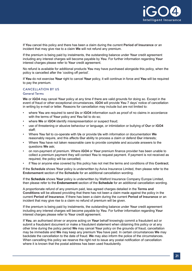

If **You** cancel this policy and there has been a claim during the current **Period of Insurance** or an incident that may give rise to a claim **We** will not refund any premium.

If the premium is being paid by instalments, the outstanding balance under **Your** credit agreement including any interest charges will become payable by **You**. For further information regarding **Your** interest charges please refer to **Your** credit agreement.

No refund is available for additional products **You** may have purchased alongside this policy, when the policy is cancelled after the 'cooling off period'.

If **You** do not exercise **Your** right to cancel **Your** policy, it will continue in force and **You** will be required to pay the premium.

## CANCELLATION BY US

## General Terms

**We** or **iGO4** may cancel **Your** policy at any time if there are valid grounds for doing so. Except in the event of fraud or other exceptional circumstances, **iGO4** will provide **You** 7 days' notice of cancellation in writing by e-mail or letter. Reasons for cancellation may include but are not limited to:

- where **You** are required to send **Us** or **iGO4** information such as proof of no claims in accordance with the terms of **Your** policy and **You** fail to do so;
- where **We** or **iGO4** identify misrepresentation or suspect fraud;
- use of threatening or abusive behaviour or language, or intimidation or bullying of **Our** or **iGO4** staff;
- Where **You** fail to co-operate with **Us** or provide **Us** with information or documentation **We** reasonably require, and this affects **Our** ability to process a claim or defend **Our** interests;
- Where **You** have not taken reasonable care to provide complete and accurate answers to the questions **We** ask;
- on non-payment of premium. Where **iGO4** or **Your** premium finance provider has been unable to collect a premium payment they will contact **You** to request payment. If payment is not received as required, the policy will be cancelled;
- if **You** or anyone else covered by this policy has not met the terms and conditions of this **Contract**;

If the **Schedule** shows **Your** policy is underwritten by Aviva Insurance Limited, then please refer to the **Endorsement** section of the **Schedule** for an additional cancellation wording.

If the **Schedule** shows **Your** policy is underwritten by Watford Insurance Company Europe Limited, then please refer to the **Endorsement** section of the **Schedule** for an additional cancellation wording.

A proportionate refund of any premium paid, less agreed charges detailed in the **Terms and Conditions** will be allowed providing that there has not been a claim made against the policy in the current **Period of Insurance**. If there has been a claim during the current **Period of Insurance** or an incident that may give rise to a claim no refund of premium will be given.

If the premium is being paid by instalments, the outstanding balance under **Your** credit agreement including any interest charges will become payable by **You**. For further information regarding **Your** interest charges please refer to **Your** credit agreement.

If **You**, an authorised driver or anyone acting on **Your** behalf knowingly commit a fraudulent act or submit a fraudulent document or make a fraudulent statement when obtaining this policy or at any other time during the policy period **We** may cancel **Your** policy on the grounds of fraud, cancellation may be immediate and **We** may keep any premium **You** have paid. In certain circumstances **We** may backdate the cancellation to the date of fraud. **We** may also inform the police of the circumstances. When cancelling this policy we reserve the right not to issue any postal notification of cancellation where it is known that the postal address has been used fraudulently.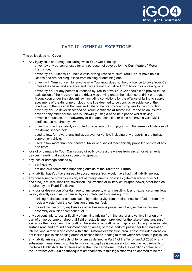

# **PART 17 - GENERAL EXCEPTIONS**

This policy does not **Cover**:

- Any injury, loss or damage occurring while **Your Car** is being:
	- driven by any person or used for any purpose not covered by the **Certificate of Motor Insurance**;
	- driven by **You**, unless **You** hold a valid driving licence to drive **Your Car**, or have held a licence and are not disqualified from holding or obtaining one;
	- driven with **Your** consent by anyone who **You** know does not hold a licence to drive **Your Car** unless they have held a licence and they are not disqualified from holding or obtaining one;
	- driven by **You** or any person authorised by **You** to drive **Your Car** should it be proved to the satisfaction of the **Insurer** that the driver was driving under the influence of drink or drugs. A conviction under the relevant law (including convictions for the offence of failing to supply specimens of breath, urine or blood) shall be deemed to be conclusive evidence of the condition of the driver at the time and date of the occurrence giving rise to the conviction;
	- driven by **You**, a driver described on **Your Certificate of Motor Insurance** as an insured driver or any other person who is unlawfully using a hand-held phone whilst driving;
	- driven in an unsafe, un-roadworthy or damaged condition or does not have a valid MOT certificate as required by law;
	- driven by or in the custody or control of a person not complying with the terms or limitations of the driving licence held;
	- used to tow, for reward, any trailer, caravan or vehicle including any property in the trailer, caravan or vehicle;
	- used to tow more than one caravan, trailer or disabled mechanically propelled vehicle at any one time;
- loss of or damage to **Your Car** caused directly by pressure waves from aircraft or other aerial devices travelling at sonic or supersonic speeds.
- any loss or damage caused by:
	- earthquake:
	- riot and civil commotion happening outside of the **Territorial Limits**.
- any liability that **You** have agreed to accept unless **You** would have had that liability anyway;
- any consequence of war, invasion, act of foreign enemy, hostilities (whether war is or is not declared), civil war, rebellion, revolution, insurrection or military or usurped power, other than as required by the Road Traffic Acts;
- any loss or destruction of or damage to any property or any resulting loss or expense or any legal liability directly or indirectly caused by or contributed to or arising from:
	- ionising radiations or contamination by radioactivity from irradiated nuclear fuel or from any nuclear waste from the combustion of nuclear fuel;
	- the radioactive, toxic, explosive or other hazardous properties of any explosive nuclear assembly or nuclear component of it.
- any accident, injury, loss or liability of any kind arising from the use of any vehicle in or on any part of an aerodrome or airport, airfield or establishment provided for the take-off and landing of aircraft or the movement of aircraft on the surface; aircraft parking aprons including the associated surface road and ground equipment parking areas, or those parts of passenger terminals of an international airport which come within the Customs examination area. These excluded areas do not include public car parking areas or access roads leading to them which are open to public use.
- any liability arising out of acts of terrorism as defined in Part 1 of the Terrorism Act 2000 or any subsequent amendments to this legislation, except as is necessary to meet the requirements of the Road Traffic Acts. In territories other than the **Territorial Limits** the definition contained in the Terrorism Act 2000 or subsequent amendments to this legislation will be deemed to be the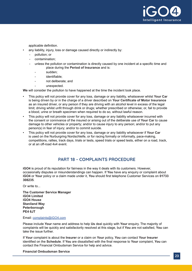

applicable definition.

- any liability, injury, loss or damage caused directly or indirectly by:
	- pollution; or
	- contamination;
	- unless the pollution or contamination is directly caused by one incident at a specific time and place during the **Period of Insurance** and is:
		- sudden;
		- identifiable:
		- not deliberate; and
		- unexpected.

**We** will consider the pollution to have happened at the time the incident took place.

- This policy will not provide cover for any loss, damage or any liability, whatsoever whilst **Your Car** is being driven by or in the charge of a driver described on **Your Certificate of Motor Insurance** as an insured driver, or any person if they are driving with an alcohol level in excess of the legal limit; driving whilst unfit through drink or drugs; whether prescribed or otherwise; or, fail to provide a blood, urine or breath specimen when required to do so, without lawful reason.
- This policy will not provide cover for any loss, damage or any liability whatsoever incurred with the consent or connivance of the insured or arising out of the deliberate use of **Your Car** to cause damage to other vehicles or property; and/or to cause injury to any person; and/or to put any person(s) in fear of injury; and/or to commit suicide.
- This policy will not provide cover for any loss, damage or any liability whatsoever if **Your Car** is used on the Nurburgring Nordschleife, or for racing formally or informally, pace-making, competitions, rallies, track days, trials or tests, speed trials or speed tests, either on a road, track, or at an off-road 4x4 event.

## **PART 18 - COMPLAINTS PROCEDURE**

**iGO4** is proud of its reputation for fairness in the way it deals with its customers. However, occasionally disputes or misunderstandings can happen. If **You** have any enquiry or complaint about **iGO4** or **Your** policy or a claim made under it, **You** should first telephone Customer Services on **01733 308235**.

Or write to...

**The Customer Service Manager iGO4 Limited iGO4 House Staniland Way Peterborough PE4 6JT**

Email: [complaints@iGO4.com](mailto:complaints%40iGO4.com?subject=)

Please include **Your** name and address to help **Us** deal quickly with **Your** enquiry. The majority of complaints will be quickly and satisfactorily resolved at this stage, but if **You** are not satisfied, **You** can take the issue further.

If **Your** complaint is about the **Insurer** or a claim on **Your** policy, **You** can contact **Your Insurer**  identified on the **Schedule**. If **You** are dissatisfied with the final response to **Your** complaint, **You** can contact the Financial Ombudsman Service for help and advice.

**Financial Ombudsman Service**